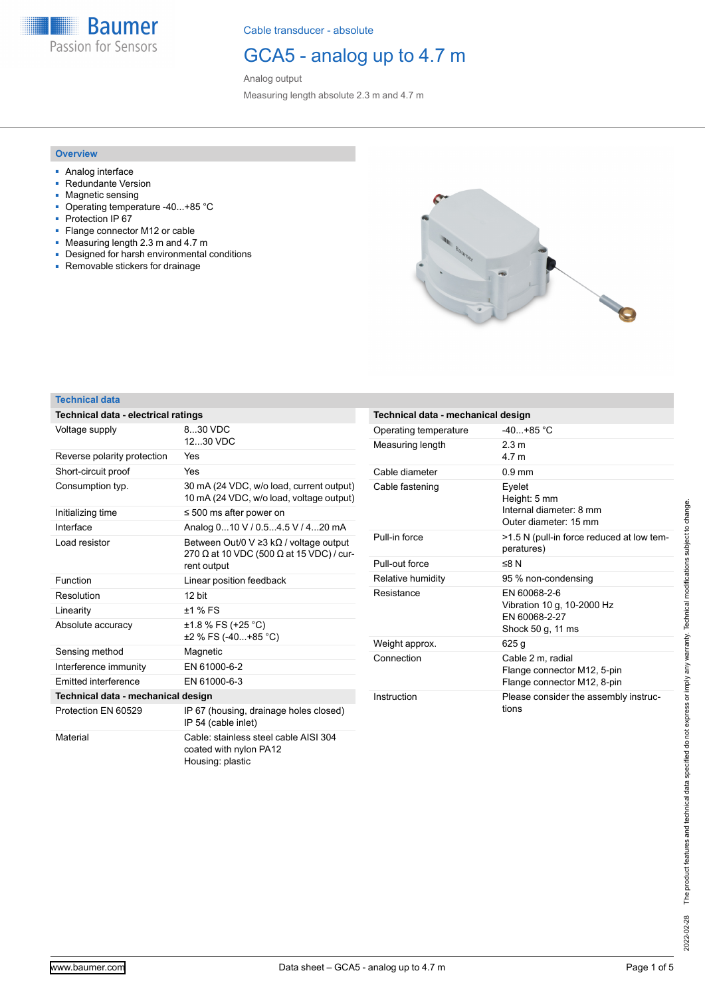**Baumer** Passion for Sensors

Cable transducer - absolute

## GCA5 - analog up to 4.7 m

Analog output Measuring length absolute 2.3 m and 4.7 m

### **Overview**

- Analog interface
- Redundante Version
- Magnetic sensing
- Operating temperature -40...+85 °C ■ Protection IP 67
- Flange connector M12 or cable
- Measuring length 2.3 m and 4.7 m
- Designed for harsh environmental conditions
- Removable stickers for drainage



#### **Technical data**

| Technical data - electrical ratings |                                                                                                                               |
|-------------------------------------|-------------------------------------------------------------------------------------------------------------------------------|
| Voltage supply                      | 8 30 VDC<br>12 30 VDC                                                                                                         |
| Reverse polarity protection         | Yes                                                                                                                           |
| Short-circuit proof                 | Yes                                                                                                                           |
| Consumption typ.                    | 30 mA (24 VDC, w/o load, current output)<br>10 mA (24 VDC, w/o load, voltage output)                                          |
| Initializing time                   | $\leq 500$ ms after power on                                                                                                  |
| Interface                           | Analog 010 V / 0.54.5 V / 420 mA                                                                                              |
| Load resistor                       | Between Out/0 V $\geq$ 3 k $\Omega$ / voltage output<br>270 $\Omega$ at 10 VDC (500 $\Omega$ at 15 VDC) / cur-<br>rent output |
| Function                            | Linear position feedback                                                                                                      |
| Resolution                          | 12 hit                                                                                                                        |
| Linearity                           | $±1$ % FS                                                                                                                     |
| Absolute accuracy                   | $\pm$ 1.8 % FS (+25 °C)<br>±2 % FS (-40+85 °C)                                                                                |
| Sensing method                      | Magnetic                                                                                                                      |
| Interference immunity               | EN 61000-6-2                                                                                                                  |
| <b>Emitted interference</b>         | FN 61000-6-3                                                                                                                  |
| Technical data - mechanical design  |                                                                                                                               |
| Protection EN 60529                 | IP 67 (housing, drainage holes closed)<br>IP 54 (cable inlet)                                                                 |
| Material                            | Cable: stainless steel cable AISI 304<br>coated with nylon PA12<br>Housing: plastic                                           |

| Technical data - mechanical design |                                                                                  |
|------------------------------------|----------------------------------------------------------------------------------|
| Operating temperature              | $-40 + 85$ °C                                                                    |
| Measuring length                   | 2 3 m<br>4 7 m                                                                   |
| Cable diameter                     | $0.9 \text{ mm}$                                                                 |
| Cable fastening                    | Eyelet<br>Height: 5 mm<br>Internal diameter: 8 mm<br>Outer diameter: 15 mm       |
| Pull-in force                      | >1.5 N (pull-in force reduced at low tem-<br>peratures)                          |
| Pull-out force                     | ≤8 $N$                                                                           |
| Relative humidity                  | 95 % non-condensing                                                              |
| Resistance                         | FN 60068-2-6<br>Vibration 10 g, 10-2000 Hz<br>FN 60068-2-27<br>Shock 50 g, 11 ms |
| Weight approx.                     | 625 q                                                                            |
| Connection                         | Cable 2 m, radial<br>Flange connector M12, 5-pin<br>Flange connector M12, 8-pin  |
| Instruction                        | Please consider the assembly instruc-<br>tions                                   |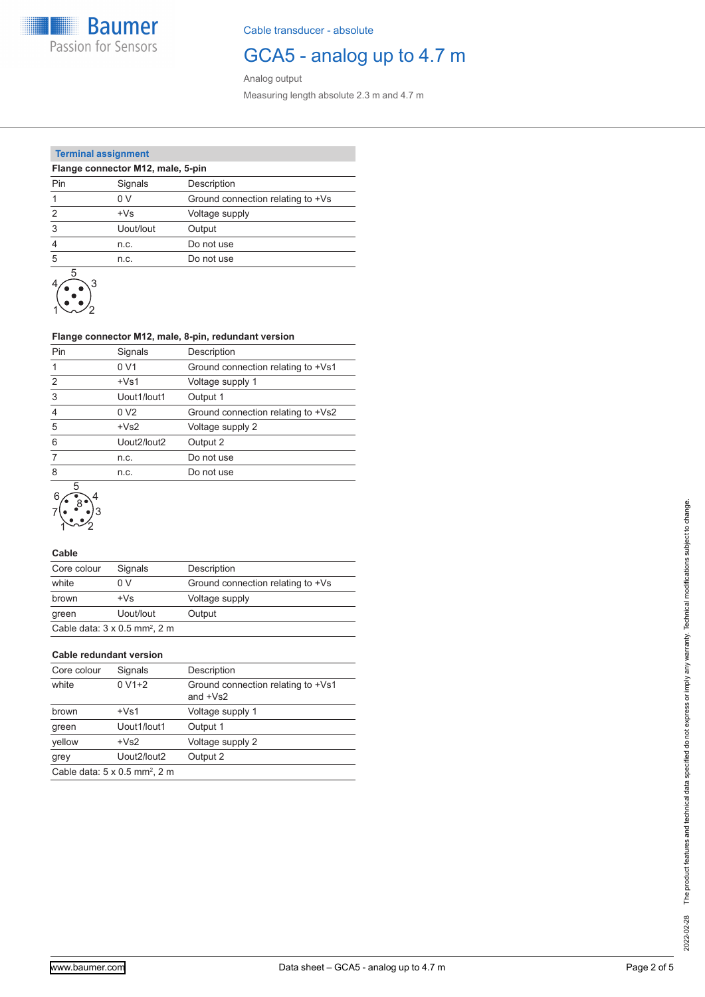**Baumer** Passion for Sensors

Cable transducer - absolute

### GCA5 - analog up to 4.7 m

Analog output Measuring length absolute 2.3 m and 4.7 m

### **Terminal assignment**

| Flange connector M12, male, 5-pin |           |                                   |  |  |  |  |
|-----------------------------------|-----------|-----------------------------------|--|--|--|--|
| Pin                               | Signals   | Description                       |  |  |  |  |
|                                   | 0 V       | Ground connection relating to +Vs |  |  |  |  |
| $\mathcal{P}$                     | $+Vs$     | Voltage supply                    |  |  |  |  |
| 3                                 | Uout/lout | Output                            |  |  |  |  |
| 4                                 | n.c.      | Do not use                        |  |  |  |  |
| 5                                 | n.c.      | Do not use                        |  |  |  |  |
| ᄃ                                 |           |                                   |  |  |  |  |



### **Flange connector M12, male, 8-pin, redundant version**

| Pin           | Signals        | Description                        |
|---------------|----------------|------------------------------------|
|               | 0 V1           | Ground connection relating to +Vs1 |
| $\mathcal{P}$ | $+Vs1$         | Voltage supply 1                   |
| 3             | Uout1/lout1    | Output 1                           |
| 4             | 0 <sub>2</sub> | Ground connection relating to +Vs2 |
| 5             | $+Vs2$         | Voltage supply 2                   |
| 6             | Uout2/lout2    | Output 2                           |
|               | n.c.           | Do not use                         |
| 8             | n.c.           | Do not use                         |
|               |                |                                    |



### **Cable**

| Core colour | Signals                                          | Description                       |
|-------------|--------------------------------------------------|-----------------------------------|
| white       | 0 V                                              | Ground connection relating to +Vs |
| brown       | $+Vs$                                            | Voltage supply                    |
| green       | Uout/lout                                        | Output                            |
|             | Cable data: $3 \times 0.5$ mm <sup>2</sup> , 2 m |                                   |

#### **Cable redundant version**

| Core colour | Signals                                          | Description                                             |
|-------------|--------------------------------------------------|---------------------------------------------------------|
| white       | $0 V1+2$                                         | Ground connection relating to +Vs1<br>and $+\sqrt{s^2}$ |
| brown       | $+Vs1$                                           | Voltage supply 1                                        |
| green       | Uout1/lout1                                      | Output 1                                                |
| yellow      | $+VS2$                                           | Voltage supply 2                                        |
| grey        | Uout2/lout2                                      | Output 2                                                |
|             | Cable data: $5 \times 0.5$ mm <sup>2</sup> , 2 m |                                                         |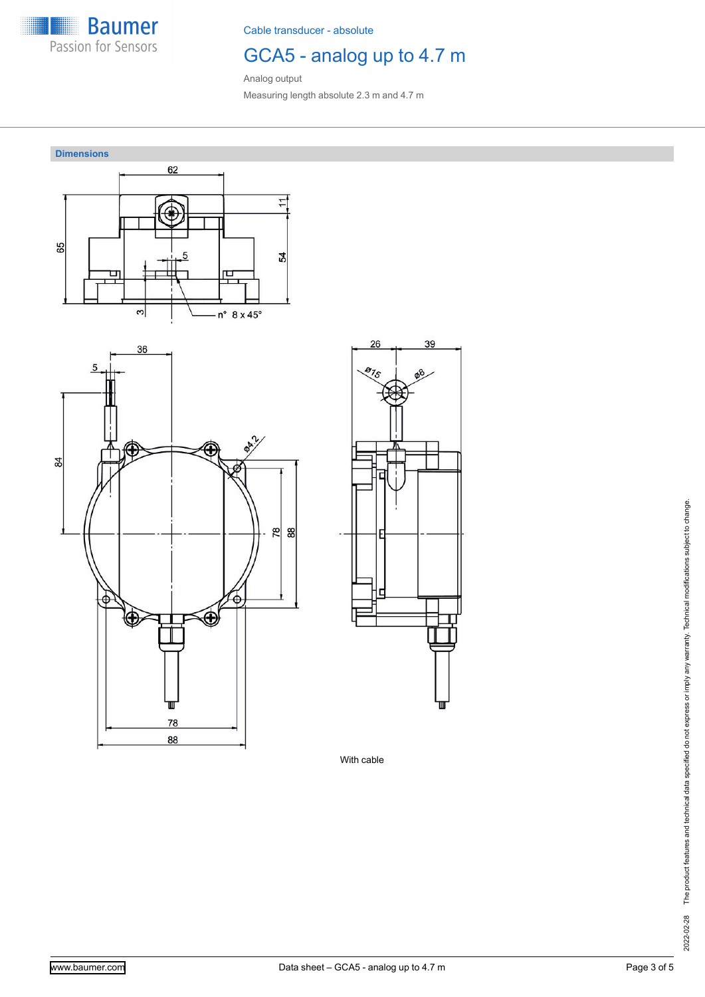

Cable transducer - absolute

# GCA5 - analog up to 4.7 m

39

Analog output Measuring length absolute 2.3 m and 4.7 m



With cable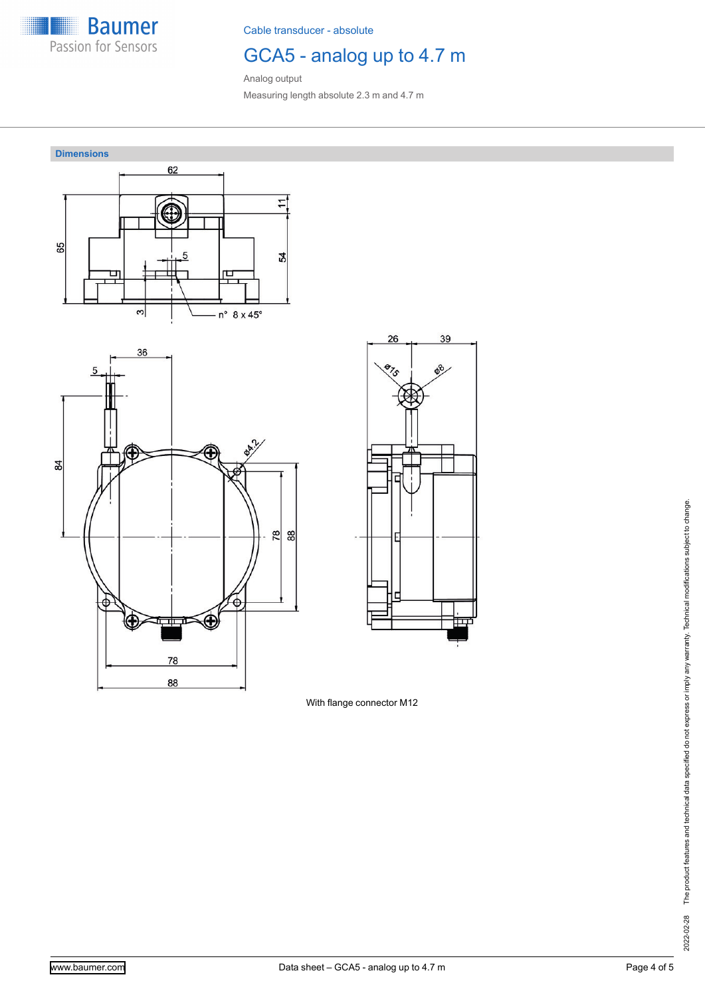

Cable transducer - absolute

# GCA5 - analog up to 4.7 m

39

Analog output Measuring length absolute 2.3 m and 4.7 m



With flange connector M12